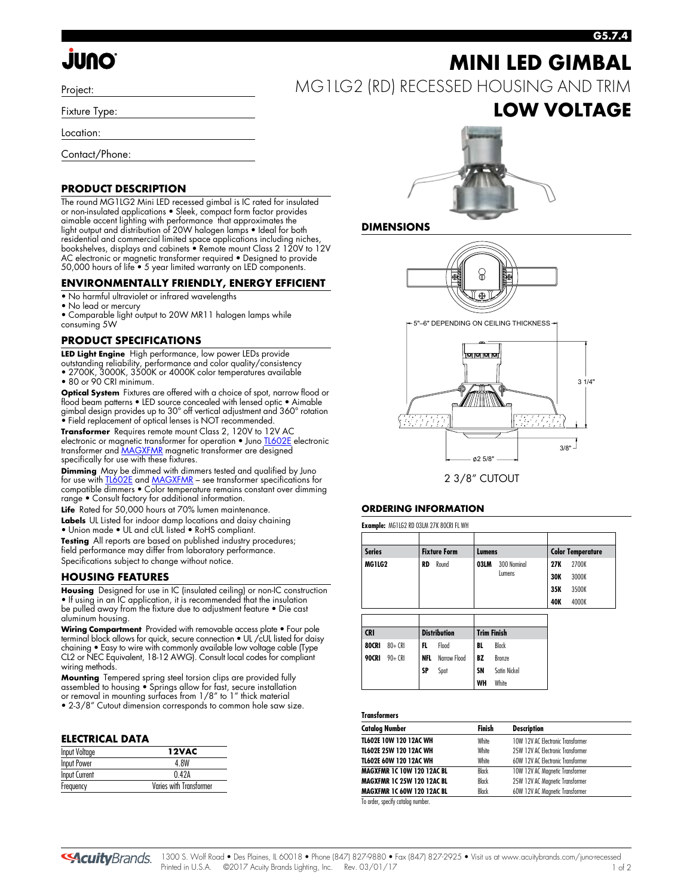# **JUNO**

Project:

Fixture Type:

Location:

Contact/Phone:

#### **PRODUCT DESCRIPTION**

The round MG1LG2 Mini LED recessed gimbal is IC rated for insulated or non-insulated applications • Sleek, compact form factor provides aimable accent lighting with performance that approximates the light output and distribution of 20W halogen lamps • Ideal for both residential and commercial limited space applications including niches, bookshelves, displays and cabinets • Remote mount Class 2 120V to 12V AC electronic or magnetic transformer required • Designed to provide 50,000 hours of life • 5 year limited warranty on LED components.

#### **ENVIRONMENTALLY FRIENDLY, ENERGY EFFICIENT**

- No harmful ultraviolet or infrared wavelengths
- No lead or mercury

• Comparable light output to 20W MR11 halogen lamps while consuming 5W

#### **PRODUCT SPECIFICATIONS**

**LED Light Engine** High performance, low power LEDs provide outstanding reliability, performance and color quality/consistency

• 2700K, 3000K, 3500K or 4000K color temperatures available • 80 or 90 CRI minimum.

**Optical System** Fixtures are offered with a choice of spot, narrow flood or flood beam patterns • LED source concealed with lensed optic • Aimable gimbal design provides up to 30° off vertical adjustment and 360° rotation • Field replacement of optical lenses is NOT recommended.

**Transformer** Requires remote mount Class 2, 120V to 12V AC electronic or magnetic transformer for operation • Jun[o TL602E e](http://www.acuitybrands.com/shell/-/media/Files/Acuity/Other/D3_1_9.pdf)lectronic transformer an[d MAGXFMR](http://www.acuitybrands.com/shell/-/media/Files/Acuity/Other/D3_1_10.pdf) magnetic transformer are designed specifically for use with these fixtures.

**Dimming** May be dimmed with dimmers tested and qualified by Juno for use wit[h TL602E a](http://www.acuitybrands.com/shell/-/media/Files/Acuity/Other/D3_1_9.pdf)nd MAGXFMR - see transformer specifications for compatible dimmers • Color temperature remains constant over dimming range • Consult factory for additional information.

Life Rated for 50,000 hours at 70% lumen maintenance.

**Labels** UL Listed for indoor damp locations and daisy chaining

• Union made • UL and cUL listed • RoHS compliant.

**Testing** All reports are based on published industry procedures; field performance may differ from laboratory performance. Specifications subject to change without notice.

#### **HOUSING FEATURES**

**Housing** Designed for use in IC (insulated ceiling) or non-IC construction • If using in an IC application, it is recommended that the insulation be pulled away from the fixture due to adjustment feature • Die cast aluminum housing.

**Wiring Compartment** Provided with removable access plate • Four pole terminal block allows for quick, secure connection • UL /cUL listed for daisy chaining • Easy to wire with commonly available low voltage cable (Type CL2 or NEC Equivalent, 18-12 AWG). Consult local codes for compliant wiring methods.

**Mounting** Tempered spring steel torsion clips are provided fully assembled to housing • Springs allow for fast, secure installation or removal in mounting surfaces from 1/8" to 1" thick material • 2-3/8" Cutout dimension corresponds to common hole saw size.

#### **ELECTRICAL DATA**

| <b>Input Voltage</b> | 12VAC                   |
|----------------------|-------------------------|
| Input Power          | 4 8W                    |
| Input Current        | 042A                    |
| Frequency            | Varies with Transformer |

# **MINI LED GIMBAL**

MG1LG2 (RD) RECESSED HOUSING AND TRIM

### **LOW VOLTAGE**

**G5.7.4**



#### **DIMENSIONS**



5"–6" DEPENDING ON CEILING THICKNESS



2 3/8" CUTOUT

#### **ORDERING INFORMATION**

**Example:** MG1LG2 RD 03LM 27K 80CRI FL WH

| <b>Series</b>                       |            |            | <b>Fixture Form</b> |                    | Lumens        |     | <b>Color Temperature</b> |  |
|-------------------------------------|------------|------------|---------------------|--------------------|---------------|-----|--------------------------|--|
| MG1LG2                              |            | RD         | Round               |                    | 300 Nominal   | 27K | 2700K                    |  |
|                                     |            |            |                     |                    | Lumens        |     | 3000K                    |  |
|                                     |            |            |                     |                    |               | 35K | 3500K                    |  |
|                                     |            |            |                     |                    |               |     | 4000K                    |  |
|                                     |            |            |                     |                    |               |     |                          |  |
|                                     |            |            |                     |                    |               |     |                          |  |
|                                     |            |            |                     |                    |               |     |                          |  |
|                                     |            |            | <b>Distribution</b> | <b>Trim Finish</b> |               |     |                          |  |
|                                     | $80 + CR$  | FL.        | Flood               | BL                 | Black         |     |                          |  |
|                                     | $90 + CR1$ | <b>NFL</b> | Narrow Flood        | BZ                 | <b>Bronze</b> |     |                          |  |
| <b>CRI</b><br>80CRI<br><b>90CRI</b> |            | SP         | Spot                | SN                 | Satin Nickel  |     |                          |  |

#### **Transformers**

| <b>Catalog Number</b>             | Finish | <b>Description</b>                |  |
|-----------------------------------|--------|-----------------------------------|--|
| <b>TL602E 10W 120 12AC WH</b>     | White  | 10W 12V AC Electronic Transformer |  |
| TL602E 25W 120 12AC WH            | White  | 25W 12V AC Electronic Transformer |  |
| TL602E 60W 120 12AC WH            | White  | 60W 12V AC Electronic Transformer |  |
| <b>MAGXFMR 1C 10W 120 12AC BL</b> | Black  | 10W 12V AC Magnetic Transformer   |  |
| <b>MAGXFMR 1C 25W 120 12AC BL</b> | Black  | 25W 12V AC Magnetic Transformer   |  |
| <b>MAGXFMR 1C 60W 120 12AC BL</b> | Black  | 60W 12V AC Magnetic Transformer   |  |

To order, specify catalog number.

**SAcuity** Brands.